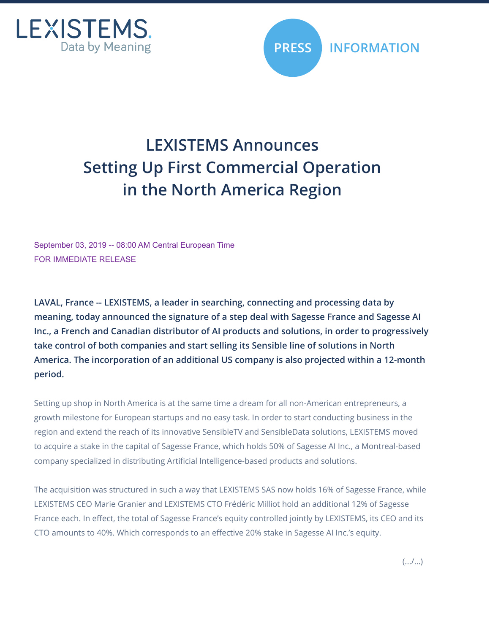



## **LEXISTEMS Announces Setting Up First Commercial Operation in the North America Region**

September 03, 2019 -- 08:00 AM Central European Time FOR IMMEDIATE RELEASE

**LAVAL, France -- LEXISTEMS, a leader in searching, connecting and processing data by meaning, today announced the signature of a step deal with Sagesse France and Sagesse AI Inc., a French and Canadian distributor of AI products and solutions, in order to progressively take control of both companies and start selling its Sensible line of solutions in North America. The incorporation of an additional US company is also projected within a 12-month period.**

Setting up shop in North America is at the same time a dream for all non-American entrepreneurs, a growth milestone for European startups and no easy task. In order to start conducting business in the region and extend the reach of its innovative SensibleTV and SensibleData solutions, LEXISTEMS moved to acquire a stake in the capital of Sagesse France, which holds 50% of Sagesse AI Inc., a Montreal-based company specialized in distributing Artificial Intelligence-based products and solutions.

The acquisition was structured in such a way that LEXISTEMS SAS now holds 16% of Sagesse France, while LEXISTEMS CEO Marie Granier and LEXISTEMS CTO Frédéric Milliot hold an additional 12% of Sagesse France each. In effect, the total of Sagesse France's equity controlled jointly by LEXISTEMS, its CEO and its CTO amounts to 40%. Which corresponds to an effective 20% stake in Sagesse AI Inc.'s equity.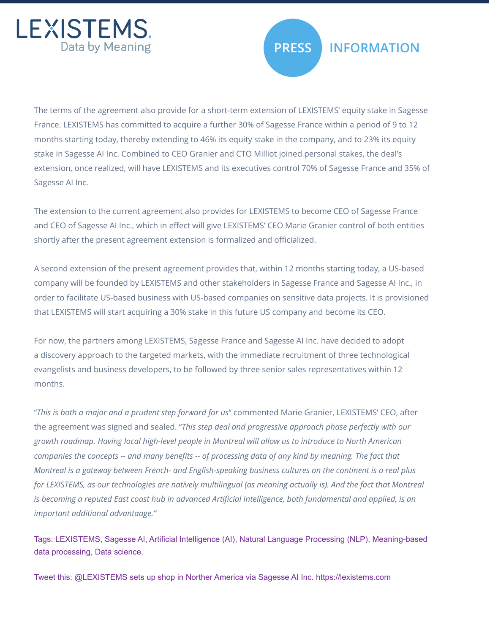



## **PRESS INFORMATION**

The terms of the agreement also provide for a short-term extension of LEXISTEMS' equity stake in Sagesse France. LEXISTEMS has committed to acquire a further 30% of Sagesse France within a period of 9 to 12 months starting today, thereby extending to 46% its equity stake in the company, and to 23% its equity stake in Sagesse AI Inc. Combined to CEO Granier and CTO Milliot joined personal stakes, the deal's extension, once realized, will have LEXISTEMS and its executives control 70% of Sagesse France and 35% of Sagesse AI Inc.

The extension to the current agreement also provides for LEXISTEMS to become CEO of Sagesse France and CEO of Sagesse AI Inc., which in effect will give LEXISTEMS' CEO Marie Granier control of both entities shortly after the present agreement extension is formalized and officialized.

A second extension of the present agreement provides that, within 12 months starting today, a US-based company will be founded by LEXISTEMS and other stakeholders in Sagesse France and Sagesse AI Inc., in order to facilitate US-based business with US-based companies on sensitive data projects. It is provisioned that LEXISTEMS will start acquiring a 30% stake in this future US company and become its CEO.

For now, the partners among LEXISTEMS, Sagesse France and Sagesse AI Inc. have decided to adopt a discovery approach to the targeted markets, with the immediate recruitment of three technological evangelists and business developers, to be followed by three senior sales representatives within 12 months.

"*This is both a major and a prudent step forward for us*" commented Marie Granier, LEXISTEMS' CEO, after the agreement was signed and sealed. "*This step deal and progressive approach phase perfectly with our growth roadmap. Having local high-level people in Montreal will allow us to introduce to North American companies the concepts -- and many benefits -- of processing data of any kind by meaning. The fact that Montreal is a gateway between French- and English-speaking business cultures on the continent is a real plus*  for LEXISTEMS, as our technologies are natively multilingual (as meaning actually is). And the fact that Montreal *is becoming a reputed East coast hub in advanced Artificial Intelligence, both fundamental and applied, is an important additional advantaage."* 

Tags: LEXISTEMS, Sagesse AI, Artificial Intelligence (AI), Natural Language Processing (NLP), Meaning-based data processing, Data science.

Tweet this: @LEXISTEMS sets up shop in Norther America via Sagesse AI Inc. https://lexistems.com